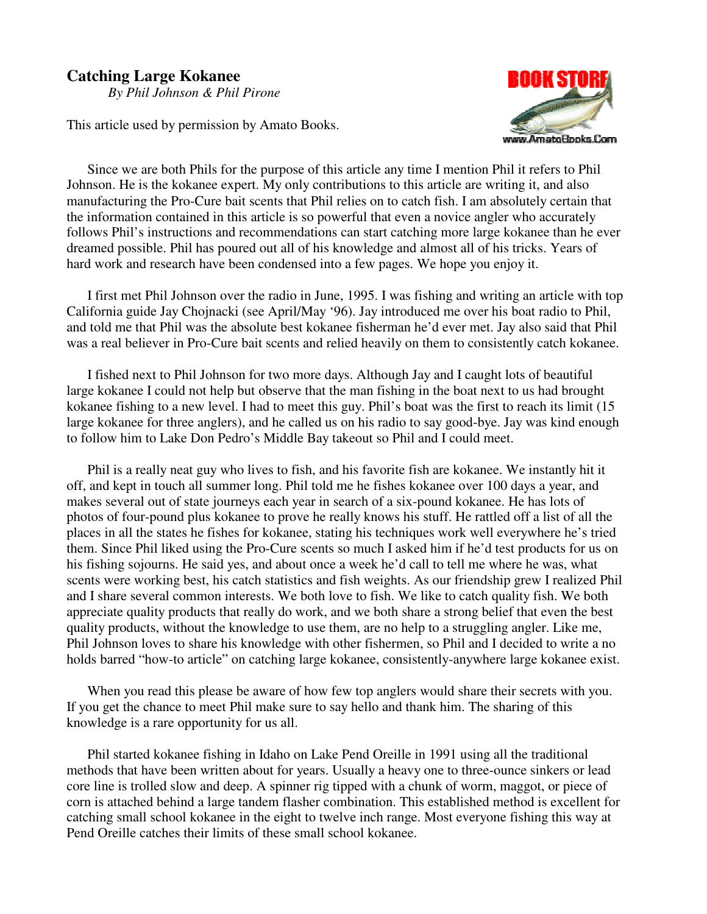# **Catching Large Kokanee**

*By Phil Johnson & Phil Pirone*

This article used by permission by Amato Books.



Since we are both Phils for the purpose of this article any time I mention Phil it refers to Phil Johnson. He is the kokanee expert. My only contributions to this article are writing it, and also manufacturing the Pro-Cure bait scents that Phil relies on to catch fish. I am absolutely certain that the information contained in this article is so powerful that even a novice angler who accurately follows Phil's instructions and recommendations can start catching more large kokanee than he ever dreamed possible. Phil has poured out all of his knowledge and almost all of his tricks. Years of hard work and research have been condensed into a few pages. We hope you enjoy it.

I first met Phil Johnson over the radio in June, 1995. I was fishing and writing an article with top California guide Jay Chojnacki (see April/May '96). Jay introduced me over his boat radio to Phil, and told me that Phil was the absolute best kokanee fisherman he'd ever met. Jay also said that Phil was a real believer in Pro-Cure bait scents and relied heavily on them to consistently catch kokanee.

I fished next to Phil Johnson for two more days. Although Jay and I caught lots of beautiful large kokanee I could not help but observe that the man fishing in the boat next to us had brought kokanee fishing to a new level. I had to meet this guy. Phil's boat was the first to reach its limit (15 large kokanee for three anglers), and he called us on his radio to say good-bye. Jay was kind enough to follow him to Lake Don Pedro's Middle Bay takeout so Phil and I could meet.

Phil is a really neat guy who lives to fish, and his favorite fish are kokanee. We instantly hit it off, and kept in touch all summer long. Phil told me he fishes kokanee over 100 days a year, and makes several out of state journeys each year in search of a six-pound kokanee. He has lots of photos of four-pound plus kokanee to prove he really knows his stuff. He rattled off a list of all the places in all the states he fishes for kokanee, stating his techniques work well everywhere he's tried them. Since Phil liked using the Pro-Cure scents so much I asked him if he'd test products for us on his fishing sojourns. He said yes, and about once a week he'd call to tell me where he was, what scents were working best, his catch statistics and fish weights. As our friendship grew I realized Phil and I share several common interests. We both love to fish. We like to catch quality fish. We both appreciate quality products that really do work, and we both share a strong belief that even the best quality products, without the knowledge to use them, are no help to a struggling angler. Like me, Phil Johnson loves to share his knowledge with other fishermen, so Phil and I decided to write a no holds barred "how-to article" on catching large kokanee, consistently-anywhere large kokanee exist.

When you read this please be aware of how few top anglers would share their secrets with you. If you get the chance to meet Phil make sure to say hello and thank him. The sharing of this knowledge is a rare opportunity for us all.

Phil started kokanee fishing in Idaho on Lake Pend Oreille in 1991 using all the traditional methods that have been written about for years. Usually a heavy one to three-ounce sinkers or lead core line is trolled slow and deep. A spinner rig tipped with a chunk of worm, maggot, or piece of corn is attached behind a large tandem flasher combination. This established method is excellent for catching small school kokanee in the eight to twelve inch range. Most everyone fishing this way at Pend Oreille catches their limits of these small school kokanee.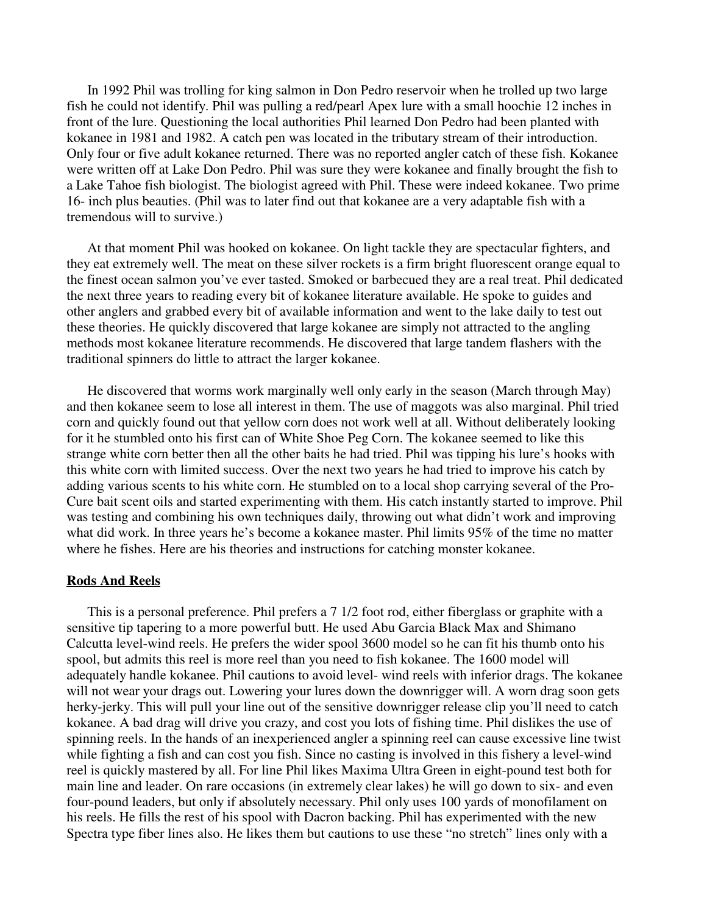In 1992 Phil was trolling for king salmon in Don Pedro reservoir when he trolled up two large fish he could not identify. Phil was pulling a red/pearl Apex lure with a small hoochie 12 inches in front of the lure. Questioning the local authorities Phil learned Don Pedro had been planted with kokanee in 1981 and 1982. A catch pen was located in the tributary stream of their introduction. Only four or five adult kokanee returned. There was no reported angler catch of these fish. Kokanee were written off at Lake Don Pedro. Phil was sure they were kokanee and finally brought the fish to a Lake Tahoe fish biologist. The biologist agreed with Phil. These were indeed kokanee. Two prime 16- inch plus beauties. (Phil was to later find out that kokanee are a very adaptable fish with a tremendous will to survive.)

At that moment Phil was hooked on kokanee. On light tackle they are spectacular fighters, and they eat extremely well. The meat on these silver rockets is a firm bright fluorescent orange equal to the finest ocean salmon you' ve ever tasted. Smoked or barbecued they are a real treat. Phil dedicated the next three years to reading every bit of kokanee literature available. He spoke to guides and other anglers and grabbed every bit of available information and went to the lake daily to test out these theories. He quickly discovered that large kokanee are simply not attracted to the angling methods most kokanee literature recommends. He discovered that large tandem flashers with the traditional spinners do little to attract the larger kokanee.

He discovered that worms work marginally well only early in the season (March through May) and then kokanee seem to lose all interest in them. The use of maggots was also marginal. Phil tried corn and quickly found out that yellow corn does not work well at all. Without deliberately looking for it he stumbled onto his first can of White Shoe Peg Corn. The kokanee seemed to like this strange white corn better then all the other baits he had tried. Phil was tipping his lure's hooks with this white corn with limited success. Over the next two years he had tried to improve his catch by adding various scents to his white corn. He stumbled on to a local shop carrying several of the Pro-Cure bait scent oils and started experimenting with them. His catch instantly started to improve. Phil was testing and combining his own techniques daily, throwing out what didn't work and improving what did work. In three years he's become a kokanee master. Phil limits 95% of the time no matter where he fishes. Here are his theories and instructions for catching monster kokanee.

#### **Rods And Reels**

This is a personal preference. Phil prefers a 7 1/2 foot rod, either fiberglass or graphite with a sensitive tip tapering to a more powerful butt. He used Abu Garcia Black Max and Shimano Calcutta level-wind reels. He prefers the wider spool 3600 model so he can fit his thumb onto his spool, but admits this reel is more reel than you need to fish kokanee. The 1600 model will adequately handle kokanee. Phil cautions to avoid level- wind reels with inferior drags. The kokanee will not wear your drags out. Lowering your lures down the downrigger will. A worn drag soon gets herky-jerky. This will pull your line out of the sensitive downrigger release clip you' ll need to catch kokanee. A bad drag will drive you crazy, and cost you lots of fishing time. Phil dislikes the use of spinning reels. In the hands of an inexperienced angler a spinning reel can cause excessive line twist while fighting a fish and can cost you fish. Since no casting is involved in this fishery a level-wind reel is quickly mastered by all. For line Phil likes Maxima Ultra Green in eight-pound test both for main line and leader. On rare occasions (in extremely clear lakes) he will go down to six- and even four-pound leaders, but only if absolutely necessary. Phil only uses 100 yards of monofilament on his reels. He fills the rest of his spool with Dacron backing. Phil has experimented with the new Spectra type fiber lines also. He likes them but cautions to use these "no stretch" lines only with a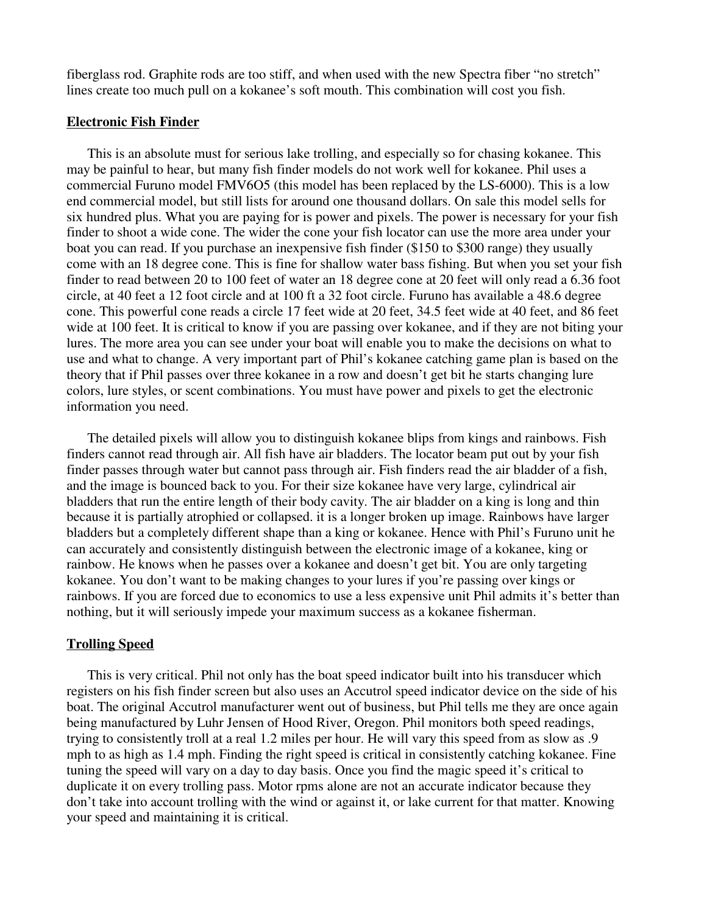fiberglass rod. Graphite rods are too stiff, and when used with the new Spectra fiber "no stretch" lines create too much pull on a kokanee's soft mouth. This combination will cost you fish.

### **Electronic Fish Finder**

This is an absolute must for serious lake trolling, and especially so for chasing kokanee. This may be painful to hear, but many fish finder models do not work well for kokanee. Phil uses a commercial Furuno model FMV6O5 (this model has been replaced by the LS-6000). This is a low end commercial model, but still lists for around one thousand dollars. On sale this model sells for six hundred plus. What you are paying for is power and pixels. The power is necessary for your fish finder to shoot a wide cone. The wider the cone your fish locator can use the more area under your boat you can read. If you purchase an inexpensive fish finder (\$150 to \$300 range) they usually come with an 18 degree cone. This is fine for shallow water bass fishing. But when you set your fish finder to read between 20 to 100 feet of water an 18 degree cone at 20 feet will only read a 6.36 foot circle, at 40 feet a 12 foot circle and at 100 ft a 32 foot circle. Furuno has available a 48.6 degree cone. This powerful cone reads a circle 17 feet wide at 20 feet, 34.5 feet wide at 40 feet, and 86 feet wide at 100 feet. It is critical to know if you are passing over kokanee, and if they are not biting your lures. The more area you can see under your boat will enable you to make the decisions on what to use and what to change. A very important part of Phil's kokanee catching game plan is based on the theory that if Phil passes over three kokanee in a row and doesn't get bit he starts changing lure colors, lure styles, or scent combinations. You must have power and pixels to get the electronic information you need.

The detailed pixels will allow you to distinguish kokanee blips from kings and rainbows. Fish finders cannot read through air. All fish have air bladders. The locator beam put out by your fish finder passes through water but cannot pass through air. Fish finders read the air bladder of a fish, and the image is bounced back to you. For their size kokanee have very large, cylindrical air bladders that run the entire length of their body cavity. The air bladder on a king is long and thin because it is partially atrophied or collapsed. it is a longer broken up image. Rainbows have larger bladders but a completely different shape than a king or kokanee. Hence with Phil's Furuno unit he can accurately and consistently distinguish between the electronic image of a kokanee, king or rainbow. He knows when he passes over a kokanee and doesn't get bit. You are only targeting kokanee. You don't want to be making changes to your lures if you're passing over kings or rainbows. If you are forced due to economics to use a less expensive unit Phil admits it's better than nothing, but it will seriously impede your maximum success as a kokanee fisherman.

# **Trolling Speed**

This is very critical. Phil not only has the boat speed indicator built into his transducer which registers on his fish finder screen but also uses an Accutrol speed indicator device on the side of his boat. The original Accutrol manufacturer went out of business, but Phil tells me they are once again being manufactured by Luhr Jensen of Hood River, Oregon. Phil monitors both speed readings, trying to consistently troll at a real 1.2 miles per hour. He will vary this speed from as slow as .9 mph to as high as 1.4 mph. Finding the right speed is critical in consistently catching kokanee. Fine tuning the speed will vary on a day to day basis. Once you find the magic speed it's critical to duplicate it on every trolling pass. Motor rpms alone are not an accurate indicator because they don't take into account trolling with the wind or against it, or lake current for that matter. Knowing your speed and maintaining it is critical.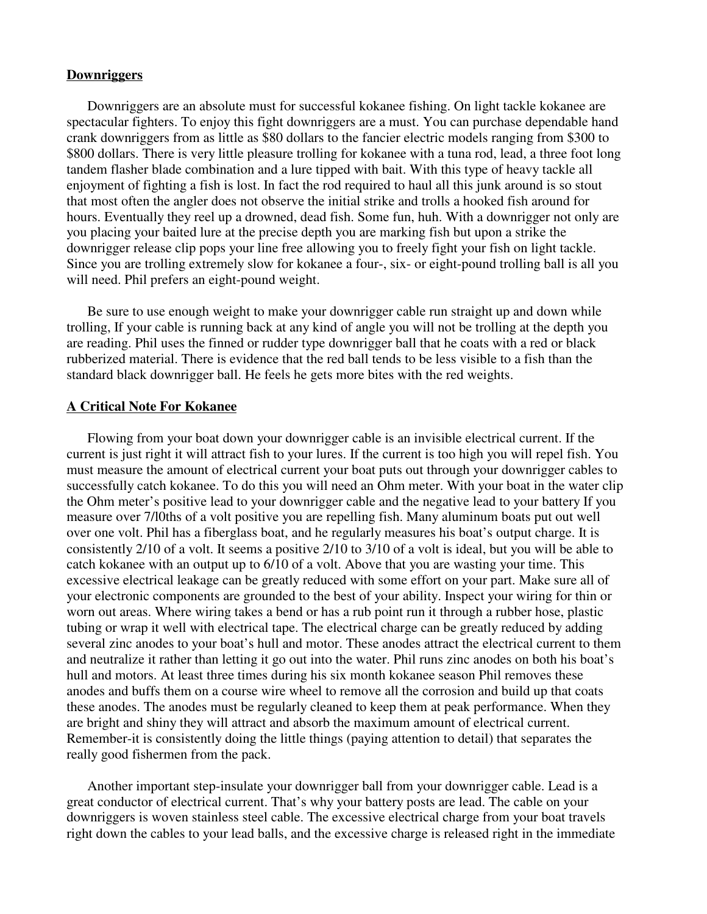### **Downriggers**

Downriggers are an absolute must for successful kokanee fishing. On light tackle kokanee are spectacular fighters. To enjoy this fight downriggers are a must. You can purchase dependable hand crank downriggers from as little as \$80 dollars to the fancier electric models ranging from \$300 to \$800 dollars. There is very little pleasure trolling for kokanee with a tuna rod, lead, a three foot long tandem flasher blade combination and a lure tipped with bait. With this type of heavy tackle all enjoyment of fighting a fish is lost. In fact the rod required to haul all this junk around is so stout that most often the angler does not observe the initial strike and trolls a hooked fish around for hours. Eventually they reel up a drowned, dead fish. Some fun, huh. With a downrigger not only are you placing your baited lure at the precise depth you are marking fish but upon a strike the downrigger release clip pops your line free allowing you to freely fight your fish on light tackle. Since you are trolling extremely slow for kokanee a four-, six- or eight-pound trolling ball is all you will need. Phil prefers an eight-pound weight.

Be sure to use enough weight to make your downrigger cable run straight up and down while trolling, If your cable is running back at any kind of angle you will not be trolling at the depth you are reading. Phil uses the finned or rudder type downrigger ball that he coats with a red or black rubberized material. There is evidence that the red ball tends to be less visible to a fish than the standard black downrigger ball. He feels he gets more bites with the red weights.

### **A Critical Note For Kokanee**

Flowing from your boat down your downrigger cable is an invisible electrical current. If the current is just right it will attract fish to your lures. If the current is too high you will repel fish. You must measure the amount of electrical current your boat puts out through your downrigger cables to successfully catch kokanee. To do this you will need an Ohm meter. With your boat in the water clip the Ohm meter's positive lead to your downrigger cable and the negative lead to your battery If you measure over 7/l0ths of a volt positive you are repelling fish. Many aluminum boats put out well over one volt. Phil has a fiberglass boat, and he regularly measures his boat's output charge. It is consistently 2/10 of a volt. It seems a positive 2/10 to 3/10 of a volt is ideal, but you will be able to catch kokanee with an output up to 6/10 of a volt. Above that you are wasting your time. This excessive electrical leakage can be greatly reduced with some effort on your part. Make sure all of your electronic components are grounded to the best of your ability. Inspect your wiring for thin or worn out areas. Where wiring takes a bend or has a rub point run it through a rubber hose, plastic tubing or wrap it well with electrical tape. The electrical charge can be greatly reduced by adding several zinc anodes to your boat's hull and motor. These anodes attract the electrical current to them and neutralize it rather than letting it go out into the water. Phil runs zinc anodes on both his boat's hull and motors. At least three times during his six month kokanee season Phil removes these anodes and buffs them on a course wire wheel to remove all the corrosion and build up that coats these anodes. The anodes must be regularly cleaned to keep them at peak performance. When they are bright and shiny they will attract and absorb the maximum amount of electrical current. Remember-it is consistently doing the little things (paying attention to detail) that separates the really good fishermen from the pack.

Another important step-insulate your downrigger ball from your downrigger cable. Lead is a great conductor of electrical current. That's why your battery posts are lead. The cable on your downriggers is woven stainless steel cable. The excessive electrical charge from your boat travels right down the cables to your lead balls, and the excessive charge is released right in the immediate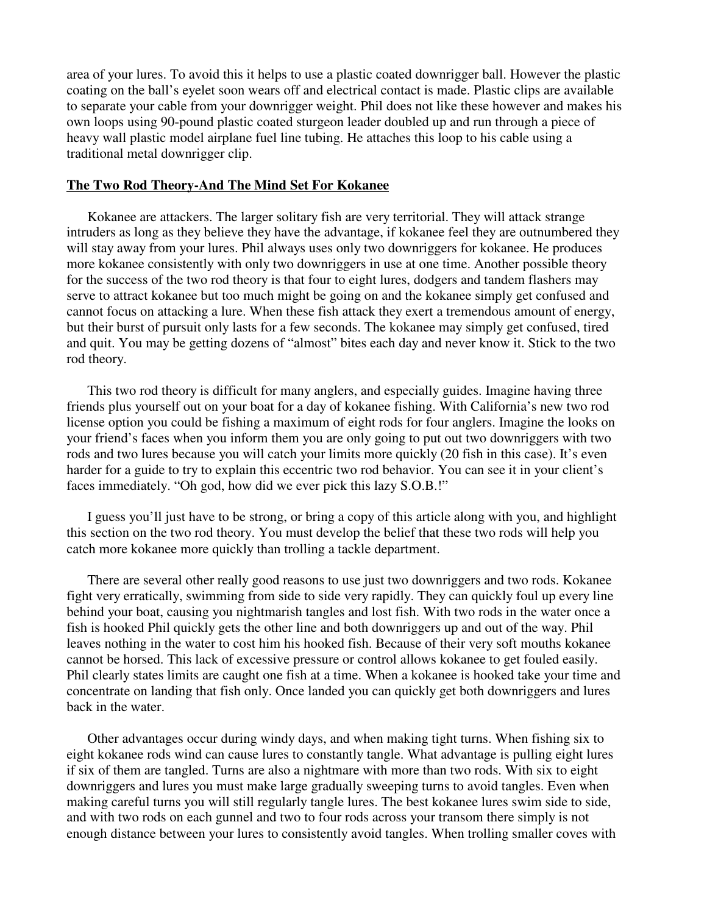area of your lures. To avoid this it helps to use a plastic coated downrigger ball. However the plastic coating on the ball's eyelet soon wears off and electrical contact is made. Plastic clips are available to separate your cable from your downrigger weight. Phil does not like these however and makes his own loops using 90-pound plastic coated sturgeon leader doubled up and run through a piece of heavy wall plastic model airplane fuel line tubing. He attaches this loop to his cable using a traditional metal downrigger clip.

### **The Two Rod Theory-And The Mind Set For Kokanee**

Kokanee are attackers. The larger solitary fish are very territorial. They will attack strange intruders as long as they believe they have the advantage, if kokanee feel they are outnumbered they will stay away from your lures. Phil always uses only two downriggers for kokanee. He produces more kokanee consistently with only two downriggers in use at one time. Another possible theory for the success of the two rod theory is that four to eight lures, dodgers and tandem flashers may serve to attract kokanee but too much might be going on and the kokanee simply get confused and cannot focus on attacking a lure. When these fish attack they exert a tremendous amount of energy, but their burst of pursuit only lasts for a few seconds. The kokanee may simply get confused, tired and quit. You may be getting dozens of "almost" bites each day and never know it. Stick to the two rod theory.

This two rod theory is difficult for many anglers, and especially guides. Imagine having three friends plus yourself out on your boat for a day of kokanee fishing. With California's new two rod license option you could be fishing a maximum of eight rods for four anglers. Imagine the looks on your friend's faces when you inform them you are only going to put out two downriggers with two rods and two lures because you will catch your limits more quickly (20 fish in this case). It's even harder for a guide to try to explain this eccentric two rod behavior. You can see it in your client's faces immediately. "Oh god, how did we ever pick this lazy S.O.B.!"

I guess you' ll just have to be strong, or bring a copy of this article along with you, and highlight this section on the two rod theory. You must develop the belief that these two rods will help you catch more kokanee more quickly than trolling a tackle department.

There are several other really good reasons to use just two downriggers and two rods. Kokanee fight very erratically, swimming from side to side very rapidly. They can quickly foul up every line behind your boat, causing you nightmarish tangles and lost fish. With two rods in the water once a fish is hooked Phil quickly gets the other line and both downriggers up and out of the way. Phil leaves nothing in the water to cost him his hooked fish. Because of their very soft mouths kokanee cannot be horsed. This lack of excessive pressure or control allows kokanee to get fouled easily. Phil clearly states limits are caught one fish at a time. When a kokanee is hooked take your time and concentrate on landing that fish only. Once landed you can quickly get both downriggers and lures back in the water.

Other advantages occur during windy days, and when making tight turns. When fishing six to eight kokanee rods wind can cause lures to constantly tangle. What advantage is pulling eight lures if six of them are tangled. Turns are also a nightmare with more than two rods. With six to eight downriggers and lures you must make large gradually sweeping turns to avoid tangles. Even when making careful turns you will still regularly tangle lures. The best kokanee lures swim side to side, and with two rods on each gunnel and two to four rods across your transom there simply is not enough distance between your lures to consistently avoid tangles. When trolling smaller coves with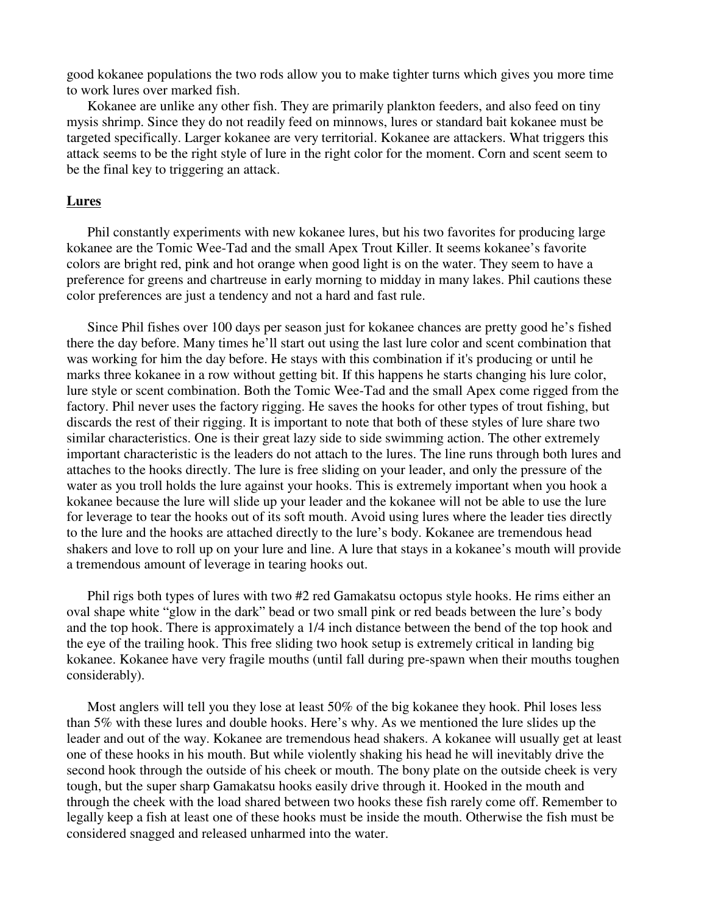good kokanee populations the two rods allow you to make tighter turns which gives you more time to work lures over marked fish.

Kokanee are unlike any other fish. They are primarily plankton feeders, and also feed on tiny mysis shrimp. Since they do not readily feed on minnows, lures or standard bait kokanee must be targeted specifically. Larger kokanee are very territorial. Kokanee are attackers. What triggers this attack seems to be the right style of lure in the right color for the moment. Corn and scent seem to be the final key to triggering an attack.

#### **Lures**

Phil constantly experiments with new kokanee lures, but his two favorites for producing large kokanee are the Tomic Wee-Tad and the small Apex Trout Killer. It seems kokanee's favorite colors are bright red, pink and hot orange when good light is on the water. They seem to have a preference for greens and chartreuse in early morning to midday in many lakes. Phil cautions these color preferences are just a tendency and not a hard and fast rule.

Since Phil fishes over 100 days per season just for kokanee chances are pretty good he's fished there the day before. Many times he' ll start out using the last lure color and scent combination that was working for him the day before. He stays with this combination if it's producing or until he marks three kokanee in a row without getting bit. If this happens he starts changing his lure color, lure style or scent combination. Both the Tomic Wee-Tad and the small Apex come rigged from the factory. Phil never uses the factory rigging. He saves the hooks for other types of trout fishing, but discards the rest of their rigging. It is important to note that both of these styles of lure share two similar characteristics. One is their great lazy side to side swimming action. The other extremely important characteristic is the leaders do not attach to the lures. The line runs through both lures and attaches to the hooks directly. The lure is free sliding on your leader, and only the pressure of the water as you troll holds the lure against your hooks. This is extremely important when you hook a kokanee because the lure will slide up your leader and the kokanee will not be able to use the lure for leverage to tear the hooks out of its soft mouth. Avoid using lures where the leader ties directly to the lure and the hooks are attached directly to the lure's body. Kokanee are tremendous head shakers and love to roll up on your lure and line. A lure that stays in a kokanee's mouth will provide a tremendous amount of leverage in tearing hooks out.

Phil rigs both types of lures with two #2 red Gamakatsu octopus style hooks. He rims either an oval shape white "glow in the dark" bead or two small pink or red beads between the lure's body and the top hook. There is approximately a 1/4 inch distance between the bend of the top hook and the eye of the trailing hook. This free sliding two hook setup is extremely critical in landing big kokanee. Kokanee have very fragile mouths (until fall during pre-spawn when their mouths toughen considerably).

Most anglers will tell you they lose at least 50% of the big kokanee they hook. Phil loses less than 5% with these lures and double hooks. Here's why. As we mentioned the lure slides up the leader and out of the way. Kokanee are tremendous head shakers. A kokanee will usually get at least one of these hooks in his mouth. But while violently shaking his head he will inevitably drive the second hook through the outside of his cheek or mouth. The bony plate on the outside cheek is very tough, but the super sharp Gamakatsu hooks easily drive through it. Hooked in the mouth and through the cheek with the load shared between two hooks these fish rarely come off. Remember to legally keep a fish at least one of these hooks must be inside the mouth. Otherwise the fish must be considered snagged and released unharmed into the water.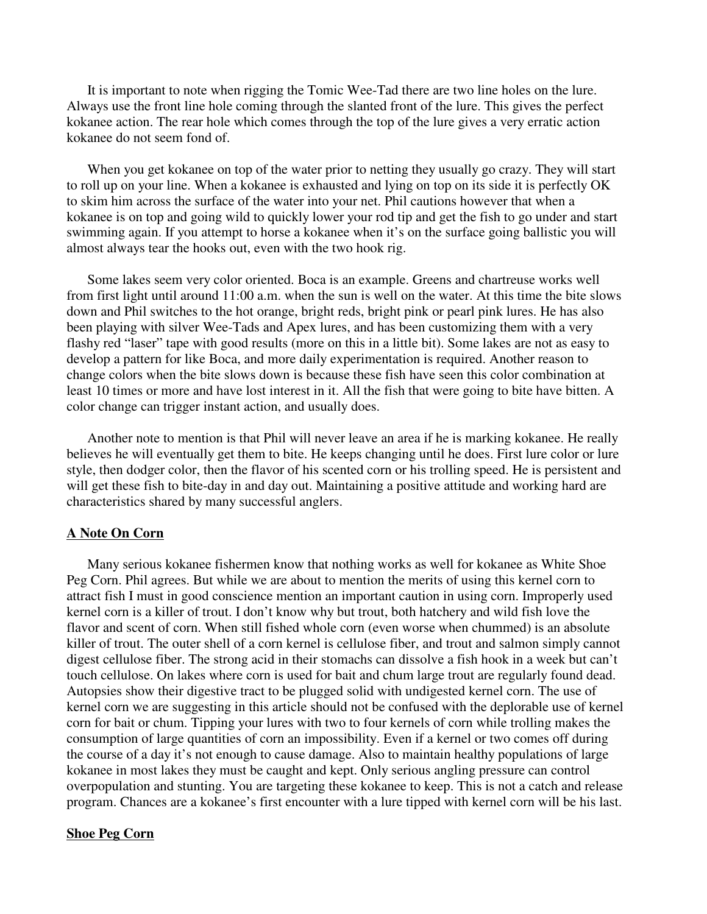It is important to note when rigging the Tomic Wee-Tad there are two line holes on the lure. Always use the front line hole coming through the slanted front of the lure. This gives the perfect kokanee action. The rear hole which comes through the top of the lure gives a very erratic action kokanee do not seem fond of.

When you get kokanee on top of the water prior to netting they usually go crazy. They will start to roll up on your line. When a kokanee is exhausted and lying on top on its side it is perfectly OK to skim him across the surface of the water into your net. Phil cautions however that when a kokanee is on top and going wild to quickly lower your rod tip and get the fish to go under and start swimming again. If you attempt to horse a kokanee when it's on the surface going ballistic you will almost always tear the hooks out, even with the two hook rig.

Some lakes seem very color oriented. Boca is an example. Greens and chartreuse works well from first light until around 11:00 a.m. when the sun is well on the water. At this time the bite slows down and Phil switches to the hot orange, bright reds, bright pink or pearl pink lures. He has also been playing with silver Wee-Tads and Apex lures, and has been customizing them with a very flashy red "laser" tape with good results (more on this in a little bit). Some lakes are not as easy to develop a pattern for like Boca, and more daily experimentation is required. Another reason to change colors when the bite slows down is because these fish have seen this color combination at least 10 times or more and have lost interest in it. All the fish that were going to bite have bitten. A color change can trigger instant action, and usually does.

Another note to mention is that Phil will never leave an area if he is marking kokanee. He really believes he will eventually get them to bite. He keeps changing until he does. First lure color or lure style, then dodger color, then the flavor of his scented corn or his trolling speed. He is persistent and will get these fish to bite-day in and day out. Maintaining a positive attitude and working hard are characteristics shared by many successful anglers.

#### **A Note On Corn**

Many serious kokanee fishermen know that nothing works as well for kokanee as White Shoe Peg Corn. Phil agrees. But while we are about to mention the merits of using this kernel corn to attract fish I must in good conscience mention an important caution in using corn. Improperly used kernel corn is a killer of trout. I don't know why but trout, both hatchery and wild fish love the flavor and scent of corn. When still fished whole corn (even worse when chummed) is an absolute killer of trout. The outer shell of a corn kernel is cellulose fiber, and trout and salmon simply cannot digest cellulose fiber. The strong acid in their stomachs can dissolve a fish hook in a week but can't touch cellulose. On lakes where corn is used for bait and chum large trout are regularly found dead. Autopsies show their digestive tract to be plugged solid with undigested kernel corn. The use of kernel corn we are suggesting in this article should not be confused with the deplorable use of kernel corn for bait or chum. Tipping your lures with two to four kernels of corn while trolling makes the consumption of large quantities of corn an impossibility. Even if a kernel or two comes off during the course of a day it's not enough to cause damage. Also to maintain healthy populations of large kokanee in most lakes they must be caught and kept. Only serious angling pressure can control overpopulation and stunting. You are targeting these kokanee to keep. This is not a catch and release program. Chances are a kokanee's first encounter with a lure tipped with kernel corn will be his last.

# **Shoe Peg Corn**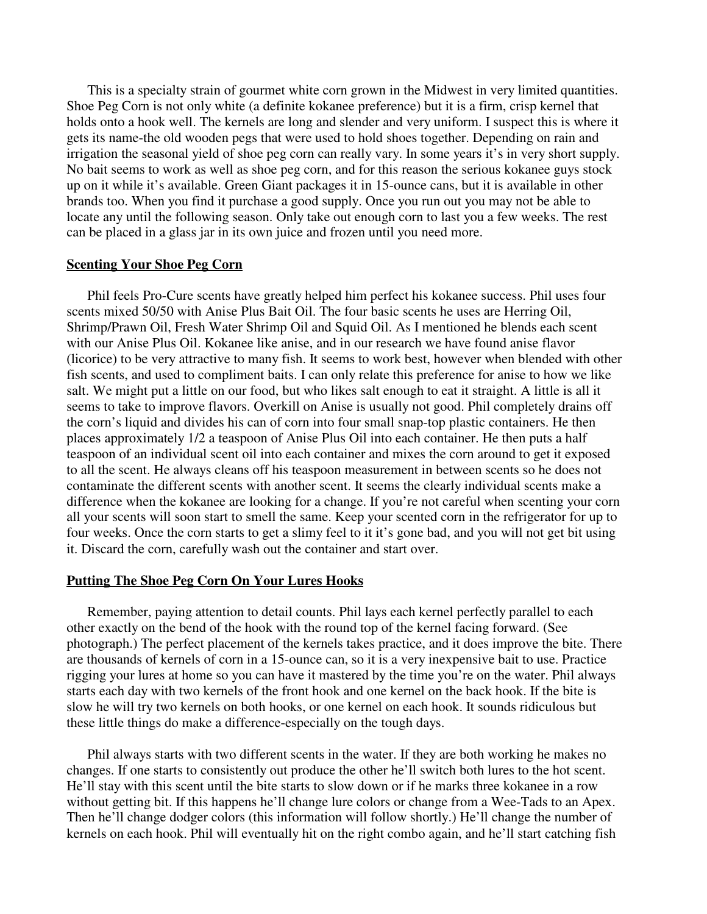This is a specialty strain of gourmet white corn grown in the Midwest in very limited quantities. Shoe Peg Corn is not only white (a definite kokanee preference) but it is a firm, crisp kernel that holds onto a hook well. The kernels are long and slender and very uniform. I suspect this is where it gets its name-the old wooden pegs that were used to hold shoes together. Depending on rain and irrigation the seasonal yield of shoe peg corn can really vary. In some years it's in very short supply. No bait seems to work as well as shoe peg corn, and for this reason the serious kokanee guys stock up on it while it's available. Green Giant packages it in 15-ounce cans, but it is available in other brands too. When you find it purchase a good supply. Once you run out you may not be able to locate any until the following season. Only take out enough corn to last you a few weeks. The rest can be placed in a glass jar in its own juice and frozen until you need more.

# **Scenting Your Shoe Peg Corn**

Phil feels Pro-Cure scents have greatly helped him perfect his kokanee success. Phil uses four scents mixed 50/50 with Anise Plus Bait Oil. The four basic scents he uses are Herring Oil, Shrimp/Prawn Oil, Fresh Water Shrimp Oil and Squid Oil. As I mentioned he blends each scent with our Anise Plus Oil. Kokanee like anise, and in our research we have found anise flavor (licorice) to be very attractive to many fish. It seems to work best, however when blended with other fish scents, and used to compliment baits. I can only relate this preference for anise to how we like salt. We might put a little on our food, but who likes salt enough to eat it straight. A little is all it seems to take to improve flavors. Overkill on Anise is usually not good. Phil completely drains off the corn's liquid and divides his can of corn into four small snap-top plastic containers. He then places approximately 1/2 a teaspoon of Anise Plus Oil into each container. He then puts a half teaspoon of an individual scent oil into each container and mixes the corn around to get it exposed to all the scent. He always cleans off his teaspoon measurement in between scents so he does not contaminate the different scents with another scent. It seems the clearly individual scents make a difference when the kokanee are looking for a change. If you're not careful when scenting your corn all your scents will soon start to smell the same. Keep your scented corn in the refrigerator for up to four weeks. Once the corn starts to get a slimy feel to it it's gone bad, and you will not get bit using it. Discard the corn, carefully wash out the container and start over.

# **Putting The Shoe Peg Corn On Your Lures Hooks**

Remember, paying attention to detail counts. Phil lays each kernel perfectly parallel to each other exactly on the bend of the hook with the round top of the kernel facing forward. (See photograph.) The perfect placement of the kernels takes practice, and it does improve the bite. There are thousands of kernels of corn in a 15-ounce can, so it is a very inexpensive bait to use. Practice rigging your lures at home so you can have it mastered by the time you're on the water. Phil always starts each day with two kernels of the front hook and one kernel on the back hook. If the bite is slow he will try two kernels on both hooks, or one kernel on each hook. It sounds ridiculous but these little things do make a difference-especially on the tough days.

Phil always starts with two different scents in the water. If they are both working he makes no changes. If one starts to consistently out produce the other he' ll switch both lures to the hot scent. He'll stay with this scent until the bite starts to slow down or if he marks three kokanee in a row without getting bit. If this happens he'll change lure colors or change from a Wee-Tads to an Apex. Then he'll change dodger colors (this information will follow shortly.) He'll change the number of kernels on each hook. Phil will eventually hit on the right combo again, and he' ll start catching fish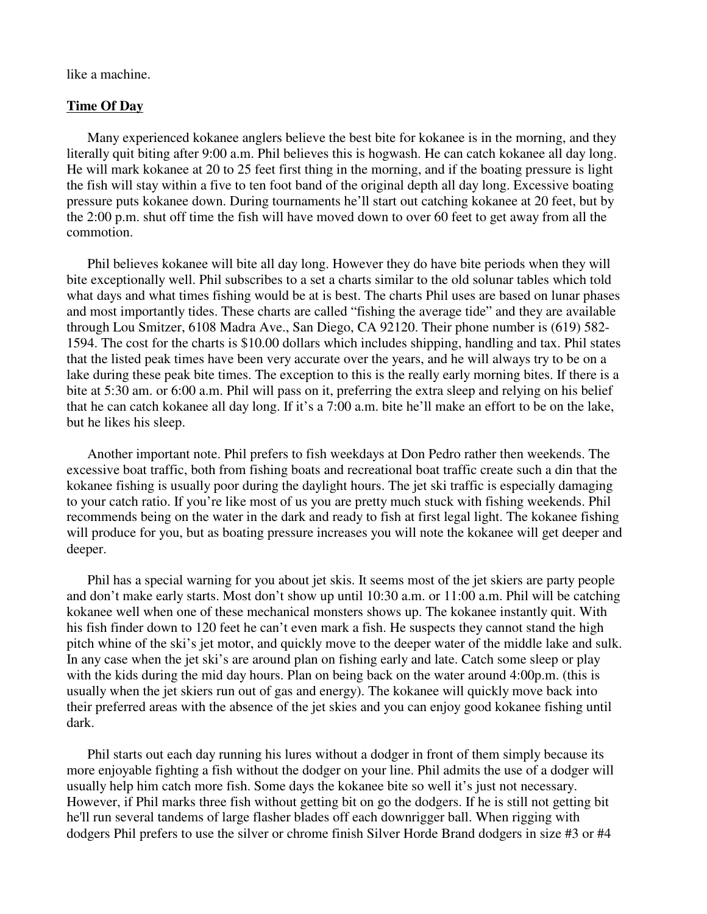like a machine.

### **Time Of Day**

Many experienced kokanee anglers believe the best bite for kokanee is in the morning, and they literally quit biting after 9:00 a.m. Phil believes this is hogwash. He can catch kokanee all day long. He will mark kokanee at 20 to 25 feet first thing in the morning, and if the boating pressure is light the fish will stay within a five to ten foot band of the original depth all day long. Excessive boating pressure puts kokanee down. During tournaments he' ll start out catching kokanee at 20 feet, but by the 2:00 p.m. shut off time the fish will have moved down to over 60 feet to get away from all the commotion.

Phil believes kokanee will bite all day long. However they do have bite periods when they will bite exceptionally well. Phil subscribes to a set a charts similar to the old solunar tables which told what days and what times fishing would be at is best. The charts Phil uses are based on lunar phases and most importantly tides. These charts are called "fishing the average tide" and they are available through Lou Smitzer, 6108 Madra Ave., San Diego, CA 92120. Their phone number is (619) 582- 1594. The cost for the charts is \$10.00 dollars which includes shipping, handling and tax. Phil states that the listed peak times have been very accurate over the years, and he will always try to be on a lake during these peak bite times. The exception to this is the really early morning bites. If there is a bite at 5:30 am. or 6:00 a.m. Phil will pass on it, preferring the extra sleep and relying on his belief that he can catch kokanee all day long. If it's a 7:00 a.m. bite he' ll make an effort to be on the lake, but he likes his sleep.

Another important note. Phil prefers to fish weekdays at Don Pedro rather then weekends. The excessive boat traffic, both from fishing boats and recreational boat traffic create such a din that the kokanee fishing is usually poor during the daylight hours. The jet ski traffic is especially damaging to your catch ratio. If you're like most of us you are pretty much stuck with fishing weekends. Phil recommends being on the water in the dark and ready to fish at first legal light. The kokanee fishing will produce for you, but as boating pressure increases you will note the kokanee will get deeper and deeper.

Phil has a special warning for you about jet skis. It seems most of the jet skiers are party people and don't make early starts. Most don't show up until 10:30 a.m. or 11:00 a.m. Phil will be catching kokanee well when one of these mechanical monsters shows up. The kokanee instantly quit. With his fish finder down to 120 feet he can't even mark a fish. He suspects they cannot stand the high pitch whine of the ski's jet motor, and quickly move to the deeper water of the middle lake and sulk. In any case when the jet ski's are around plan on fishing early and late. Catch some sleep or play with the kids during the mid day hours. Plan on being back on the water around 4:00p.m. (this is usually when the jet skiers run out of gas and energy). The kokanee will quickly move back into their preferred areas with the absence of the jet skies and you can enjoy good kokanee fishing until dark.

Phil starts out each day running his lures without a dodger in front of them simply because its more enjoyable fighting a fish without the dodger on your line. Phil admits the use of a dodger will usually help him catch more fish. Some days the kokanee bite so well it's just not necessary. However, if Phil marks three fish without getting bit on go the dodgers. If he is still not getting bit he'll run several tandems of large flasher blades off each downrigger ball. When rigging with dodgers Phil prefers to use the silver or chrome finish Silver Horde Brand dodgers in size #3 or #4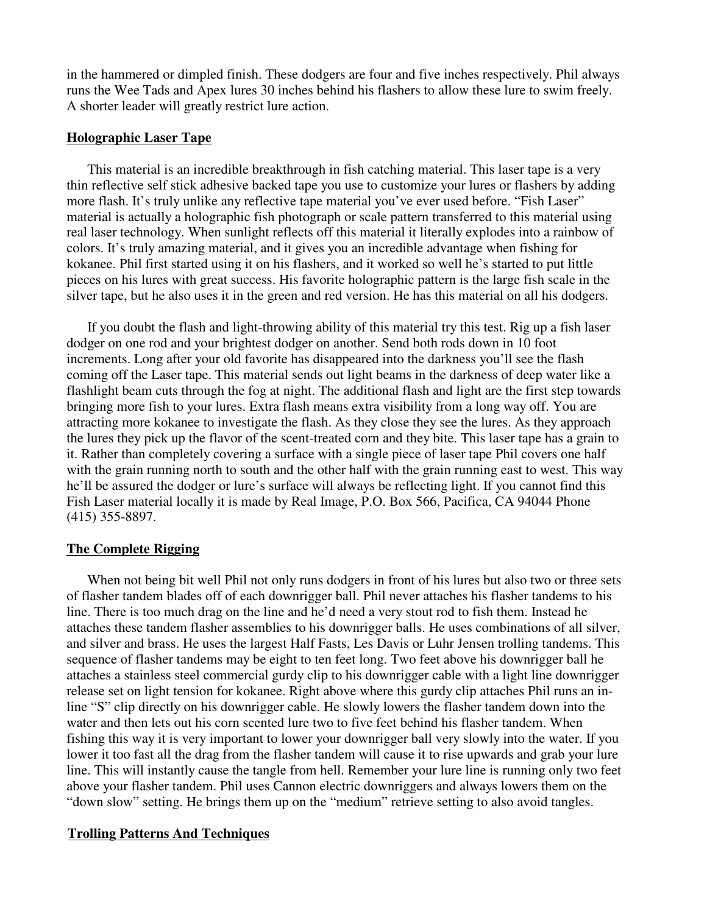in the hammered or dimpled finish. These dodgers are four and five inches respectively. Phil always runs the Wee Tads and Apex lures 30 inches behind his flashers to allow these lure to swim freely. A shorter leader will greatly restrict lure action.

### **Holographic Laser Tape**

This material is an incredible breakthrough in fish catching material. This laser tape is a very thin reflective self stick adhesive backed tape you use to customize your lures or flashers by adding more flash. It's truly unlike any reflective tape material you've ever used before. "Fish Laser" material is actually a holographic fish photograph or scale pattern transferred to this material using real laser technology. When sunlight reflects off this material it literally explodes into a rainbow of colors. It's truly amazing material, and it gives you an incredible advantage when fishing for kokanee. Phil first started using it on his flashers, and it worked so well he's started to put little pieces on his lures with great success. His favorite holographic pattern is the large fish scale in the silver tape, but he also uses it in the green and red version. He has this material on all his dodgers.

If you doubt the flash and light-throwing ability of this material try this test. Rig up a fish laser dodger on one rod and your brightest dodger on another. Send both rods down in 10 foot increments. Long after your old favorite has disappeared into the darkness you'll see the flash coming off the Laser tape. This material sends out light beams in the darkness of deep water like a flashlight beam cuts through the fog at night. The additional flash and light are the first step towards bringing more fish to your lures. Extra flash means extra visibility from a long way off. You are attracting more kokanee to investigate the flash. As they close they see the lures. As they approach the lures they pick up the flavor of the scent-treated corn and they bite. This laser tape has a grain to it. Rather than completely covering a surface with a single piece of laser tape Phil covers one half with the grain running north to south and the other half with the grain running east to west. This way he' ll be assured the dodger or lure's surface will always be reflecting light. If you cannot find this Fish Laser material locally it is made by Real Image, P.O. Box 566, Pacifica, CA 94044 Phone (415) 355-8897.

# **The Complete Rigging**

When not being bit well Phil not only runs dodgers in front of his lures but also two or three sets of flasher tandem blades off of each downrigger ball. Phil never attaches his flasher tandems to his line. There is too much drag on the line and he' d need a very stout rod to fish them. Instead he attaches these tandem flasher assemblies to his downrigger balls. He uses combinations of all silver, and silver and brass. He uses the largest Half Fasts, Les Davis or Luhr Jensen trolling tandems. This sequence of flasher tandems may be eight to ten feet long. Two feet above his downrigger ball he attaches a stainless steel commercial gurdy clip to his downrigger cable with a light line downrigger release set on light tension for kokanee. Right above where this gurdy clip attaches Phil runs an inline "S" clip directly on his downrigger cable. He slowly lowers the flasher tandem down into the water and then lets out his corn scented lure two to five feet behind his flasher tandem. When fishing this way it is very important to lower your downrigger ball very slowly into the water. If you lower it too fast all the drag from the flasher tandem will cause it to rise upwards and grab your lure line. This will instantly cause the tangle from hell. Remember your lure line is running only two feet above your flasher tandem. Phil uses Cannon electric downriggers and always lowers them on the " down slow" setting. He brings them up on the " medium" retrieve setting to also avoid tangles.

# **Trolling Patterns And Techniques**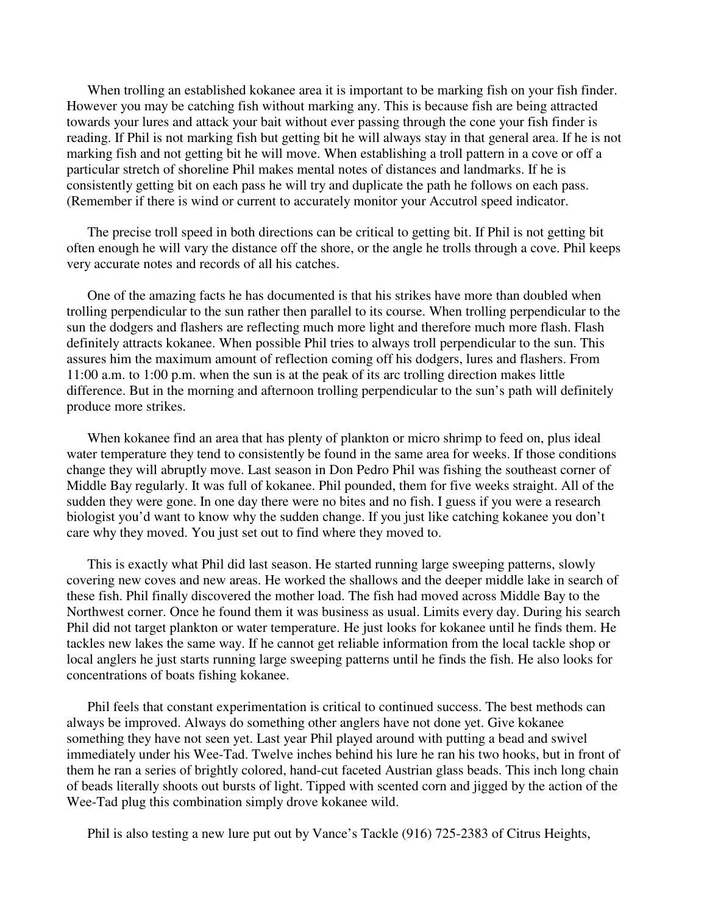When trolling an established kokanee area it is important to be marking fish on your fish finder. However you may be catching fish without marking any. This is because fish are being attracted towards your lures and attack your bait without ever passing through the cone your fish finder is reading. If Phil is not marking fish but getting bit he will always stay in that general area. If he is not marking fish and not getting bit he will move. When establishing a troll pattern in a cove or off a particular stretch of shoreline Phil makes mental notes of distances and landmarks. If he is consistently getting bit on each pass he will try and duplicate the path he follows on each pass. (Remember if there is wind or current to accurately monitor your Accutrol speed indicator.

The precise troll speed in both directions can be critical to getting bit. If Phil is not getting bit often enough he will vary the distance off the shore, or the angle he trolls through a cove. Phil keeps very accurate notes and records of all his catches.

One of the amazing facts he has documented is that his strikes have more than doubled when trolling perpendicular to the sun rather then parallel to its course. When trolling perpendicular to the sun the dodgers and flashers are reflecting much more light and therefore much more flash. Flash definitely attracts kokanee. When possible Phil tries to always troll perpendicular to the sun. This assures him the maximum amount of reflection coming off his dodgers, lures and flashers. From 11:00 a.m. to 1:00 p.m. when the sun is at the peak of its arc trolling direction makes little difference. But in the morning and afternoon trolling perpendicular to the sun's path will definitely produce more strikes.

When kokanee find an area that has plenty of plankton or micro shrimp to feed on, plus ideal water temperature they tend to consistently be found in the same area for weeks. If those conditions change they will abruptly move. Last season in Don Pedro Phil was fishing the southeast corner of Middle Bay regularly. It was full of kokanee. Phil pounded, them for five weeks straight. All of the sudden they were gone. In one day there were no bites and no fish. I guess if you were a research biologist you'd want to know why the sudden change. If you just like catching kokanee you don't care why they moved. You just set out to find where they moved to.

This is exactly what Phil did last season. He started running large sweeping patterns, slowly covering new coves and new areas. He worked the shallows and the deeper middle lake in search of these fish. Phil finally discovered the mother load. The fish had moved across Middle Bay to the Northwest corner. Once he found them it was business as usual. Limits every day. During his search Phil did not target plankton or water temperature. He just looks for kokanee until he finds them. He tackles new lakes the same way. If he cannot get reliable information from the local tackle shop or local anglers he just starts running large sweeping patterns until he finds the fish. He also looks for concentrations of boats fishing kokanee.

Phil feels that constant experimentation is critical to continued success. The best methods can always be improved. Always do something other anglers have not done yet. Give kokanee something they have not seen yet. Last year Phil played around with putting a bead and swivel immediately under his Wee-Tad. Twelve inches behind his lure he ran his two hooks, but in front of them he ran a series of brightly colored, hand-cut faceted Austrian glass beads. This inch long chain of beads literally shoots out bursts of light. Tipped with scented corn and jigged by the action of the Wee-Tad plug this combination simply drove kokanee wild.

Phil is also testing a new lure put out by Vance's Tackle (916) 725-2383 of Citrus Heights,